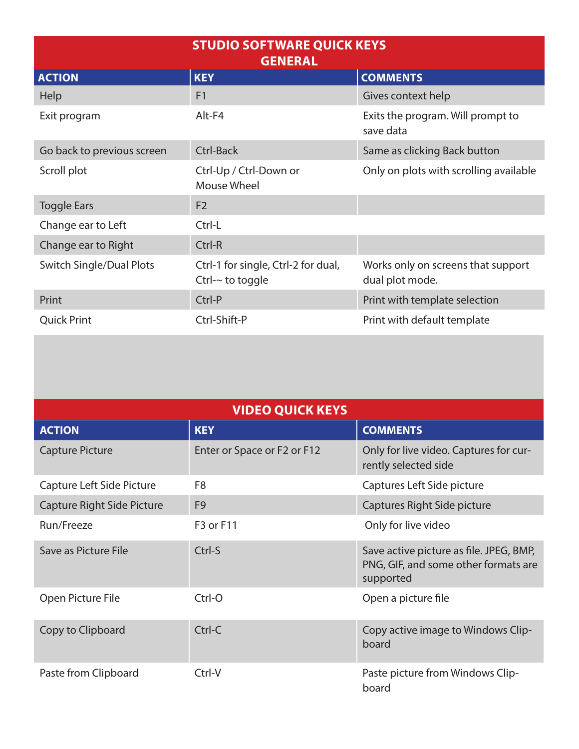| <b>STUDIO SOFTWARE QUICK KEYS</b><br><b>GENERAL</b> |                                                               |                                                       |  |
|-----------------------------------------------------|---------------------------------------------------------------|-------------------------------------------------------|--|
| <b>ACTION</b>                                       | <b>KEY</b>                                                    | <b>COMMENTS</b>                                       |  |
| <b>Help</b>                                         | F <sub>1</sub>                                                | Gives context help                                    |  |
| Exit program                                        | $Alt$ - $F4$                                                  | Exits the program. Will prompt to<br>save data        |  |
| Go back to previous screen                          | Ctrl-Back                                                     | Same as clicking Back button                          |  |
| Scroll plot                                         | Ctrl-Up / Ctrl-Down or<br>Mouse Wheel                         | Only on plots with scrolling available                |  |
| <b>Toggle Ears</b>                                  | F <sub>2</sub>                                                |                                                       |  |
| Change ear to Left                                  | Ctrl-L                                                        |                                                       |  |
| Change ear to Right                                 | Ctrl-R                                                        |                                                       |  |
| <b>Switch Single/Dual Plots</b>                     | Ctrl-1 for single, Ctrl-2 for dual,<br>Ctrl- $\sim$ to toggle | Works only on screens that support<br>dual plot mode. |  |
| Print                                               | Ctrl-P                                                        | Print with template selection                         |  |
| <b>Quick Print</b>                                  | Ctrl-Shift-P                                                  | Print with default template                           |  |

| <b>VIDEO QUICK KEYS</b>    |                             |                                                                                              |  |  |
|----------------------------|-----------------------------|----------------------------------------------------------------------------------------------|--|--|
| <b>ACTION</b>              | <b>KEY</b>                  | <b>COMMENTS</b>                                                                              |  |  |
| <b>Capture Picture</b>     | Enter or Space or F2 or F12 | Only for live video. Captures for cur-<br>rently selected side                               |  |  |
| Capture Left Side Picture  | F <sub>8</sub>              | Captures Left Side picture                                                                   |  |  |
| Capture Right Side Picture | F <sub>9</sub>              | Captures Right Side picture                                                                  |  |  |
| Run/Freeze                 | F3 or F11                   | Only for live video                                                                          |  |  |
| Save as Picture File       | Ctrl-S                      | Save active picture as file. JPEG, BMP,<br>PNG, GIF, and some other formats are<br>supported |  |  |
| Open Picture File          | Ctrl-O                      | Open a picture file                                                                          |  |  |
| Copy to Clipboard          | Ctrl-C                      | Copy active image to Windows Clip-<br>board                                                  |  |  |
| Paste from Clipboard       | Ctrl-V                      | Paste picture from Windows Clip-<br>board                                                    |  |  |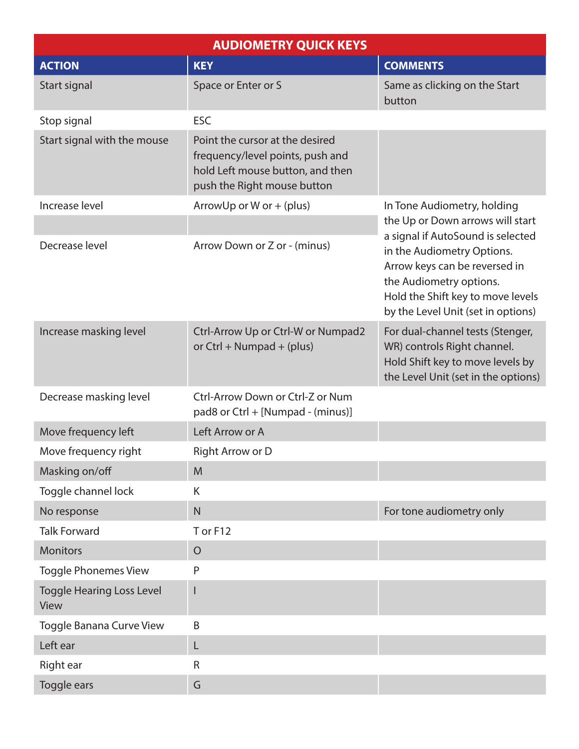| <b>AUDIOMETRY QUICK KEYS</b>             |                                                                                                                                        |                                                                                                                                                                                                        |  |  |
|------------------------------------------|----------------------------------------------------------------------------------------------------------------------------------------|--------------------------------------------------------------------------------------------------------------------------------------------------------------------------------------------------------|--|--|
| <b>ACTION</b>                            | <b>KEY</b>                                                                                                                             | <b>COMMENTS</b>                                                                                                                                                                                        |  |  |
| Start signal                             | Space or Enter or S                                                                                                                    | Same as clicking on the Start<br>button                                                                                                                                                                |  |  |
| Stop signal                              | <b>ESC</b>                                                                                                                             |                                                                                                                                                                                                        |  |  |
| Start signal with the mouse              | Point the cursor at the desired<br>frequency/level points, push and<br>hold Left mouse button, and then<br>push the Right mouse button |                                                                                                                                                                                                        |  |  |
| Increase level                           | Arrow Up or W or $+$ (plus)                                                                                                            | In Tone Audiometry, holding                                                                                                                                                                            |  |  |
|                                          |                                                                                                                                        | the Up or Down arrows will start                                                                                                                                                                       |  |  |
| Decrease level                           | Arrow Down or Z or - (minus)                                                                                                           | a signal if AutoSound is selected<br>in the Audiometry Options.<br>Arrow keys can be reversed in<br>the Audiometry options.<br>Hold the Shift key to move levels<br>by the Level Unit (set in options) |  |  |
| Increase masking level                   | Ctrl-Arrow Up or Ctrl-W or Numpad2<br>or Ctrl + Numpad + (plus)                                                                        | For dual-channel tests (Stenger,<br>WR) controls Right channel.<br>Hold Shift key to move levels by<br>the Level Unit (set in the options)                                                             |  |  |
| Decrease masking level                   | Ctrl-Arrow Down or Ctrl-Z or Num<br>pad8 or Ctrl + [Numpad - (minus)]                                                                  |                                                                                                                                                                                                        |  |  |
| Move frequency left                      | Left Arrow or A                                                                                                                        |                                                                                                                                                                                                        |  |  |
| Move frequency right                     | Right Arrow or D                                                                                                                       |                                                                                                                                                                                                        |  |  |
| Masking on/off                           | M                                                                                                                                      |                                                                                                                                                                                                        |  |  |
| Toggle channel lock                      | K                                                                                                                                      |                                                                                                                                                                                                        |  |  |
| No response                              | N                                                                                                                                      | For tone audiometry only                                                                                                                                                                               |  |  |
| <b>Talk Forward</b>                      | T or F12                                                                                                                               |                                                                                                                                                                                                        |  |  |
| <b>Monitors</b>                          | $\overline{O}$                                                                                                                         |                                                                                                                                                                                                        |  |  |
| <b>Toggle Phonemes View</b>              | P                                                                                                                                      |                                                                                                                                                                                                        |  |  |
| <b>Toggle Hearing Loss Level</b><br>View |                                                                                                                                        |                                                                                                                                                                                                        |  |  |
| Toggle Banana Curve View                 | B                                                                                                                                      |                                                                                                                                                                                                        |  |  |
| Left ear                                 | L                                                                                                                                      |                                                                                                                                                                                                        |  |  |
| Right ear                                | R                                                                                                                                      |                                                                                                                                                                                                        |  |  |
| Toggle ears                              | G                                                                                                                                      |                                                                                                                                                                                                        |  |  |